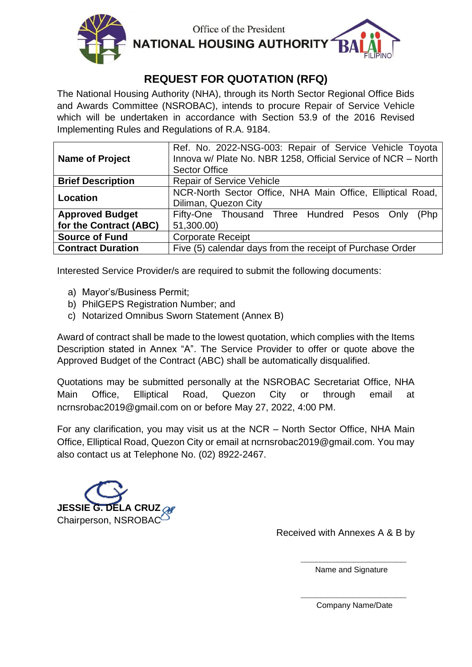

Office of the President **NATIONAL HOUSING AUTHORITY** 

# **REQUEST FOR QUOTATION (RFQ)**

The National Housing Authority (NHA), through its North Sector Regional Office Bids and Awards Committee (NSROBAC), intends to procure Repair of Service Vehicle which will be undertaken in accordance with Section 53.9 of the 2016 Revised Implementing Rules and Regulations of R.A. 9184.

| <b>Name of Project</b>   | Ref. No. 2022-NSG-003: Repair of Service Vehicle Toyota<br>Innova w/ Plate No. NBR 1258, Official Service of NCR - North<br><b>Sector Office</b> |  |  |  |
|--------------------------|--------------------------------------------------------------------------------------------------------------------------------------------------|--|--|--|
| <b>Brief Description</b> | <b>Repair of Service Vehicle</b>                                                                                                                 |  |  |  |
| Location                 | NCR-North Sector Office, NHA Main Office, Elliptical Road,                                                                                       |  |  |  |
|                          | Diliman, Quezon City                                                                                                                             |  |  |  |
| <b>Approved Budget</b>   | Fifty-One Thousand Three Hundred Pesos Only<br>(Php                                                                                              |  |  |  |
| for the Contract (ABC)   | 51,300.00)                                                                                                                                       |  |  |  |
| <b>Source of Fund</b>    | <b>Corporate Receipt</b>                                                                                                                         |  |  |  |
| <b>Contract Duration</b> | Five (5) calendar days from the receipt of Purchase Order                                                                                        |  |  |  |

Interested Service Provider/s are required to submit the following documents:

- a) Mayor's/Business Permit;
- b) PhilGEPS Registration Number; and
- c) Notarized Omnibus Sworn Statement (Annex B)

Award of contract shall be made to the lowest quotation, which complies with the Items Description stated in Annex "A". The Service Provider to offer or quote above the Approved Budget of the Contract (ABC) shall be automatically disqualified.

Quotations may be submitted personally at the NSROBAC Secretariat Office, NHA Main Office, Elliptical Road, Quezon City or through email at ncrnsrobac2019@gmail.com on or before May 27, 2022, 4:00 PM.

For any clarification, you may visit us at the NCR – North Sector Office, NHA Main Office, Elliptical Road, Quezon City or email at ncrnsrobac2019@gmail.com. You may also contact us at Telephone No. (02) 8922-2467.



Received with Annexes A & B by

**\_\_\_\_\_\_\_\_\_\_\_\_\_\_\_\_\_\_\_\_** Name and Signature

**\_\_\_\_\_\_\_\_\_\_\_\_\_\_\_\_\_\_\_\_** Company Name/Date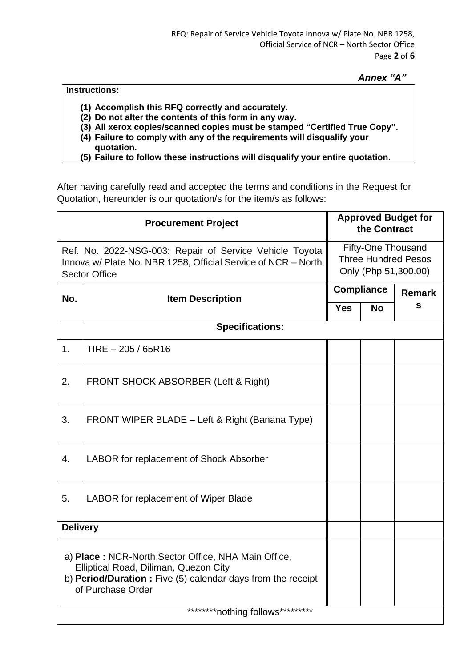# *Annex "A"*

## **Instructions:**

- **(1) Accomplish this RFQ correctly and accurately.**
- **(2) Do not alter the contents of this form in any way.**
- **(3) All xerox copies/scanned copies must be stamped "Certified True Copy".**
- **(4) Failure to comply with any of the requirements will disqualify your quotation.**
- **(5) Failure to follow these instructions will disqualify your entire quotation.**

After having carefully read and accepted the terms and conditions in the Request for Quotation, hereunder is our quotation/s for the item/s as follows:

| <b>Procurement Project</b>                                                                                                                                                        |                                                |                                                                          | <b>Approved Budget for</b><br>the Contract |               |  |  |
|-----------------------------------------------------------------------------------------------------------------------------------------------------------------------------------|------------------------------------------------|--------------------------------------------------------------------------|--------------------------------------------|---------------|--|--|
| Ref. No. 2022-NSG-003: Repair of Service Vehicle Toyota<br>Innova w/ Plate No. NBR 1258, Official Service of NCR - North<br><b>Sector Office</b>                                  |                                                | Fifty-One Thousand<br><b>Three Hundred Pesos</b><br>Only (Php 51,300.00) |                                            |               |  |  |
| No.<br><b>Item Description</b>                                                                                                                                                    |                                                | <b>Compliance</b>                                                        |                                            | <b>Remark</b> |  |  |
|                                                                                                                                                                                   |                                                |                                                                          | <b>No</b>                                  | s             |  |  |
| <b>Specifications:</b>                                                                                                                                                            |                                                |                                                                          |                                            |               |  |  |
| 1.                                                                                                                                                                                | $TIRE - 205 / 65R16$                           |                                                                          |                                            |               |  |  |
| 2.                                                                                                                                                                                | FRONT SHOCK ABSORBER (Left & Right)            |                                                                          |                                            |               |  |  |
| 3.                                                                                                                                                                                | FRONT WIPER BLADE - Left & Right (Banana Type) |                                                                          |                                            |               |  |  |
| 4.                                                                                                                                                                                | LABOR for replacement of Shock Absorber        |                                                                          |                                            |               |  |  |
| 5.                                                                                                                                                                                | LABOR for replacement of Wiper Blade           |                                                                          |                                            |               |  |  |
| <b>Delivery</b>                                                                                                                                                                   |                                                |                                                                          |                                            |               |  |  |
| a) Place: NCR-North Sector Office, NHA Main Office,<br>Elliptical Road, Diliman, Quezon City<br>b) Period/Duration : Five (5) calendar days from the receipt<br>of Purchase Order |                                                |                                                                          |                                            |               |  |  |
| *********nothing follows*********                                                                                                                                                 |                                                |                                                                          |                                            |               |  |  |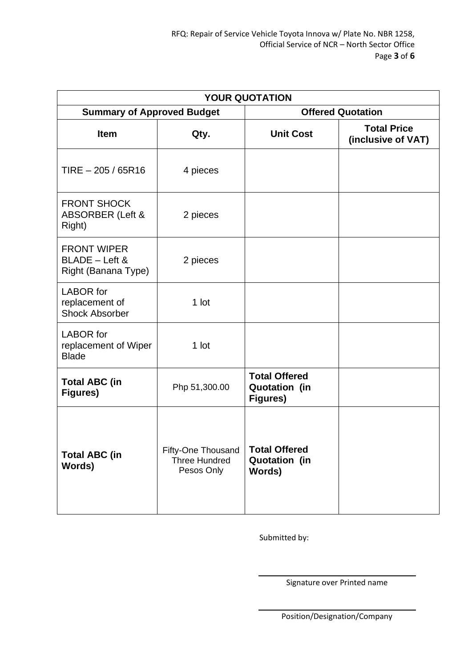| <b>YOUR QUOTATION</b>                                       |                                                          |                                                          |                                          |  |  |  |  |  |
|-------------------------------------------------------------|----------------------------------------------------------|----------------------------------------------------------|------------------------------------------|--|--|--|--|--|
| <b>Summary of Approved Budget</b>                           |                                                          | <b>Offered Quotation</b>                                 |                                          |  |  |  |  |  |
| <b>Item</b>                                                 | Qty.                                                     | <b>Unit Cost</b>                                         | <b>Total Price</b><br>(inclusive of VAT) |  |  |  |  |  |
| $TIRE - 205 / 65R16$                                        | 4 pieces                                                 |                                                          |                                          |  |  |  |  |  |
| <b>FRONT SHOCK</b><br><b>ABSORBER (Left &amp;</b><br>Right) | 2 pieces                                                 |                                                          |                                          |  |  |  |  |  |
| <b>FRONT WIPER</b><br>BLADE - Left &<br>Right (Banana Type) | 2 pieces                                                 |                                                          |                                          |  |  |  |  |  |
| <b>LABOR</b> for<br>replacement of<br><b>Shock Absorber</b> | 1 lot                                                    |                                                          |                                          |  |  |  |  |  |
| <b>LABOR</b> for<br>replacement of Wiper<br><b>Blade</b>    | 1 lot                                                    |                                                          |                                          |  |  |  |  |  |
| <b>Total ABC (in</b><br>Figures)                            | Php 51,300.00                                            | <b>Total Offered</b><br><b>Quotation (in</b><br>Figures) |                                          |  |  |  |  |  |
| <b>Total ABC (in</b><br>Words)                              | <b>Fifty-One Thousand</b><br>Three Hundred<br>Pesos Only | <b>Total Offered</b><br><b>Quotation (in</b><br>Words)   |                                          |  |  |  |  |  |

Submitted by:

Signature over Printed name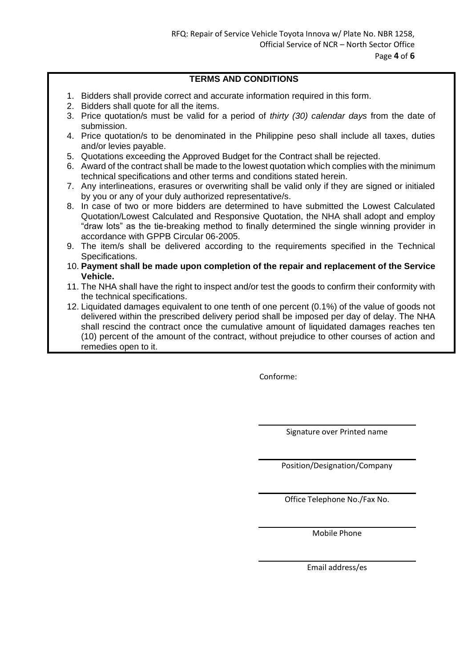## **TERMS AND CONDITIONS**

- 1. Bidders shall provide correct and accurate information required in this form.
- 2. Bidders shall quote for all the items.
- 3. Price quotation/s must be valid for a period of *thirty (30) calendar days* from the date of submission.
- 4. Price quotation/s to be denominated in the Philippine peso shall include all taxes, duties and/or levies payable.
- 5. Quotations exceeding the Approved Budget for the Contract shall be rejected.
- 6. Award of the contract shall be made to the lowest quotation which complies with the minimum technical specifications and other terms and conditions stated herein.
- 7. Any interlineations, erasures or overwriting shall be valid only if they are signed or initialed by you or any of your duly authorized representative/s.
- 8. In case of two or more bidders are determined to have submitted the Lowest Calculated Quotation/Lowest Calculated and Responsive Quotation, the NHA shall adopt and employ "draw lots" as the tie-breaking method to finally determined the single winning provider in accordance with GPPB Circular 06-2005.
- 9. The item/s shall be delivered according to the requirements specified in the Technical Specifications.
- 10. **Payment shall be made upon completion of the repair and replacement of the Service Vehicle.**
- 11. The NHA shall have the right to inspect and/or test the goods to confirm their conformity with the technical specifications.
- 12. Liquidated damages equivalent to one tenth of one percent (0.1%) of the value of goods not delivered within the prescribed delivery period shall be imposed per day of delay. The NHA shall rescind the contract once the cumulative amount of liquidated damages reaches ten (10) percent of the amount of the contract, without prejudice to other courses of action and remedies open to it.

Conforme:

Signature over Printed name

Position/Designation/Company

Office Telephone No./Fax No.

Mobile Phone

Email address/es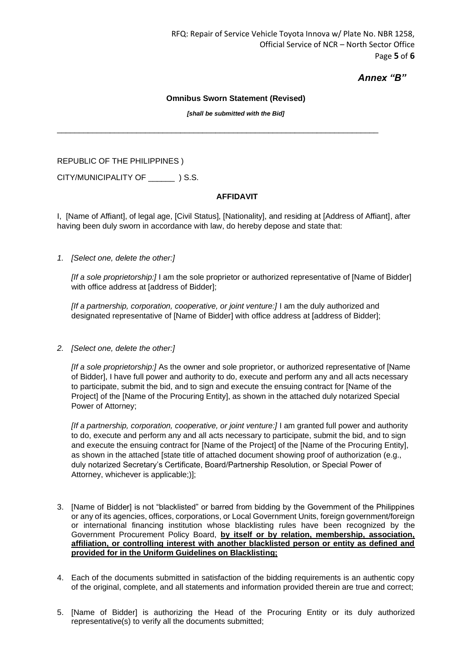## *Annex "B"*

#### **Omnibus Sworn Statement (Revised)**

*[shall be submitted with the Bid]*

 $\_$  ,  $\_$  ,  $\_$  ,  $\_$  ,  $\_$  ,  $\_$  ,  $\_$  ,  $\_$  ,  $\_$  ,  $\_$  ,  $\_$  ,  $\_$  ,  $\_$  ,  $\_$  ,  $\_$  ,  $\_$  ,  $\_$  ,  $\_$  ,  $\_$  ,  $\_$  ,  $\_$  ,  $\_$  ,  $\_$  ,  $\_$  ,  $\_$  ,  $\_$  ,  $\_$  ,  $\_$  ,  $\_$  ,  $\_$  ,  $\_$  ,  $\_$  ,  $\_$  ,  $\_$  ,  $\_$  ,  $\_$  ,  $\_$  ,

REPUBLIC OF THE PHILIPPINES )

CITY/MUNICIPALITY OF  $\qquad$  ) S.S.

## **AFFIDAVIT**

I, [Name of Affiant], of legal age, [Civil Status], [Nationality], and residing at [Address of Affiant], after having been duly sworn in accordance with law, do hereby depose and state that:

## *1. [Select one, delete the other:]*

*[If a sole proprietorship:]* I am the sole proprietor or authorized representative of [Name of Bidder] with office address at [address of Bidder];

[If a partnership, corporation, cooperative, or joint venture:] I am the duly authorized and designated representative of [Name of Bidder] with office address at [address of Bidder];

*2. [Select one, delete the other:]*

*[If a sole proprietorship:]* As the owner and sole proprietor, or authorized representative of [Name of Bidder], I have full power and authority to do, execute and perform any and all acts necessary to participate, submit the bid, and to sign and execute the ensuing contract for [Name of the Project] of the [Name of the Procuring Entity], as shown in the attached duly notarized Special Power of Attorney;

*[If a partnership, corporation, cooperative, or joint venture:]* I am granted full power and authority to do, execute and perform any and all acts necessary to participate, submit the bid, and to sign and execute the ensuing contract for [Name of the Project] of the [Name of the Procuring Entity], as shown in the attached [state title of attached document showing proof of authorization (e.g., duly notarized Secretary's Certificate, Board/Partnership Resolution, or Special Power of Attorney, whichever is applicable;)];

- 3. [Name of Bidder] is not "blacklisted" or barred from bidding by the Government of the Philippines or any of its agencies, offices, corporations, or Local Government Units, foreign government/foreign or international financing institution whose blacklisting rules have been recognized by the Government Procurement Policy Board, **by itself or by relation, membership, association, affiliation, or controlling interest with another blacklisted person or entity as defined and provided for in the Uniform Guidelines on Blacklisting;**
- 4. Each of the documents submitted in satisfaction of the bidding requirements is an authentic copy of the original, complete, and all statements and information provided therein are true and correct;
- 5. [Name of Bidder] is authorizing the Head of the Procuring Entity or its duly authorized representative(s) to verify all the documents submitted;